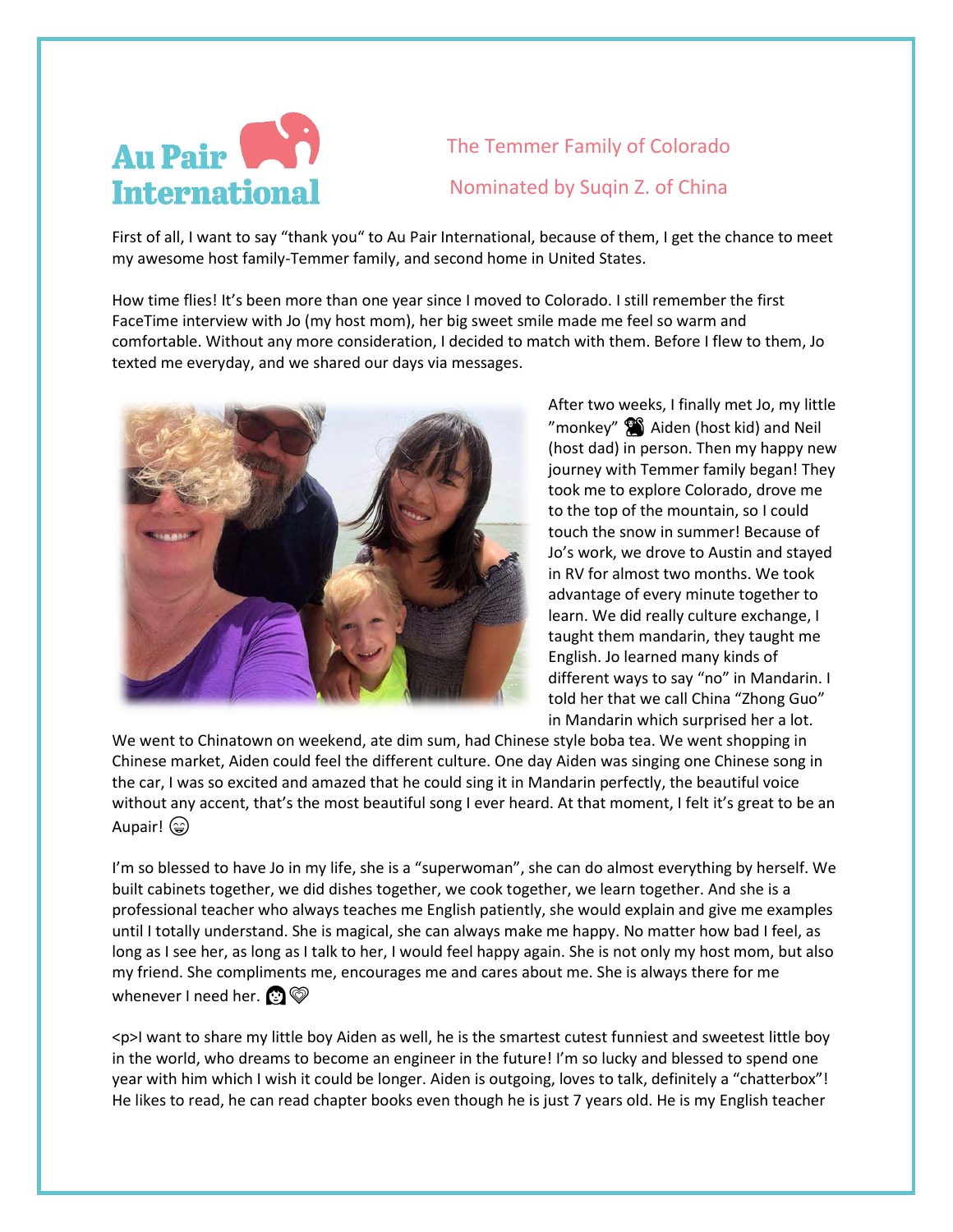

The Temmer Family of Colorado Nominated by Suqin Z. of China

First of all, I want to say "thank you" to Au Pair International, because of them, I get the chance to meet my awesome host family-Temmer family, and second home in United States.

How time flies! It's been more than one year since I moved to Colorado. I still remember the first FaceTime interview with Jo (my host mom), her big sweet smile made me feel so warm and comfortable. Without any more consideration, I decided to match with them. Before I flew to them, Jo texted me everyday, and we shared our days via messages.



After two weeks, I finally met Jo, my little "monkey"  $\binom{m}{k}$  Aiden (host kid) and Neil (host dad) in person. Then my happy new journey with Temmer family began! They took me to explore Colorado, drove me to the top of the mountain, so I could touch the snow in summer! Because of Jo's work, we drove to Austin and stayed in RV for almost two months. We took advantage of every minute together to learn. We did really culture exchange, I taught them mandarin, they taught me English. Jo learned many kinds of different ways to say "no" in Mandarin. I told her that we call China "Zhong Guo" in Mandarin which surprised her a lot.

We went to Chinatown on weekend, ate dim sum, had Chinese style boba tea. We went shopping in Chinese market, Aiden could feel the different culture. One day Aiden was singing one Chinese song in the car, I was so excited and amazed that he could sing it in Mandarin perfectly, the beautiful voice without any accent, that's the most beautiful song I ever heard. At that moment, I felt it's great to be an Aupair! ( $\circledast$ )

I'm so blessed to have Jo in my life, she is a "superwoman", she can do almost everything by herself. We built cabinets together, we did dishes together, we cook together, we learn together. And she is a professional teacher who always teaches me English patiently, she would explain and give me examples until I totally understand. She is magical, she can always make me happy. No matter how bad I feel, as long as I see her, as long as I talk to her, I would feel happy again. She is not only my host mom, but also my friend. She compliments me, encourages me and cares about me. She is always there for me whenever I need her.  $\odot \ \odot$ 

<p>I want to share my little boy Aiden as well, he is the smartest cutest funniest and sweetest little boy in the world, who dreams to become an engineer in the future! I'm so lucky and blessed to spend one year with him which I wish it could be longer. Aiden is outgoing, loves to talk, definitely a "chatterbox"! He likes to read, he can read chapter books even though he is just 7 years old. He is my English teacher